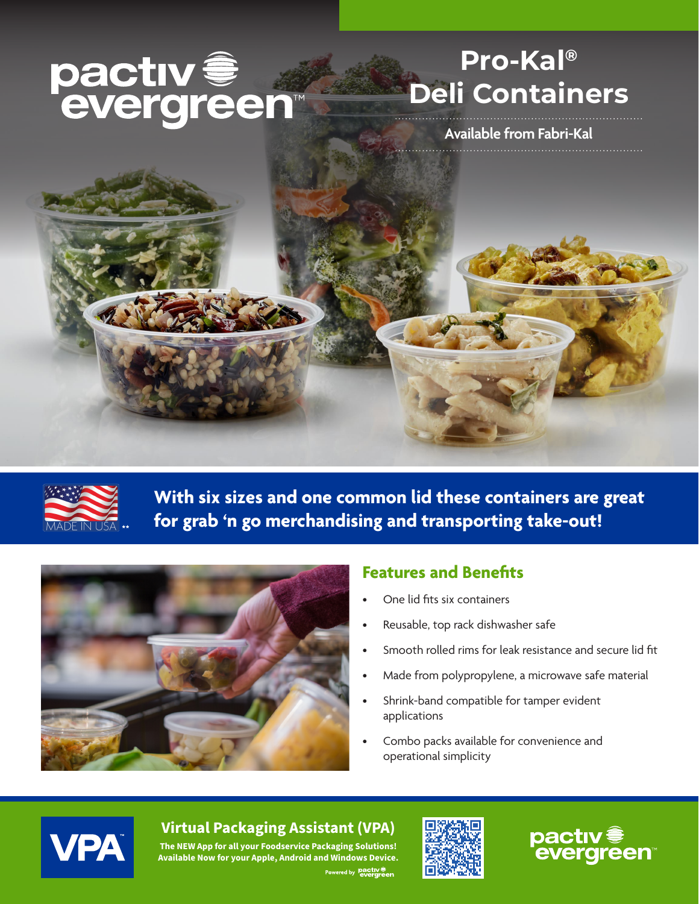# pactiv <del>e</del><br>evergreen

# **Pro-Kal® Deli Containers**

**Available from Fabri-Kal**



**With six sizes and one common lid these containers are great for grab 'n go merchandising and transporting take-out!** 



## **Features and Benefits**

- One lid fits six containers
- Reusable, top rack dishwasher safe
- Smooth rolled rims for leak resistance and secure lid fit
- Made from polypropylene, a microwave safe material
- Shrink-band compatible for tamper evident applications
- Combo packs available for convenience and operational simplicity



## **Virtual Packaging Assistant (VPA)**

**The NEW App for all your Foodservice Packaging Solutions! Available Now for your Apple, Android and Windows Device.** Powered by **pactiv**<sup>®</sup>